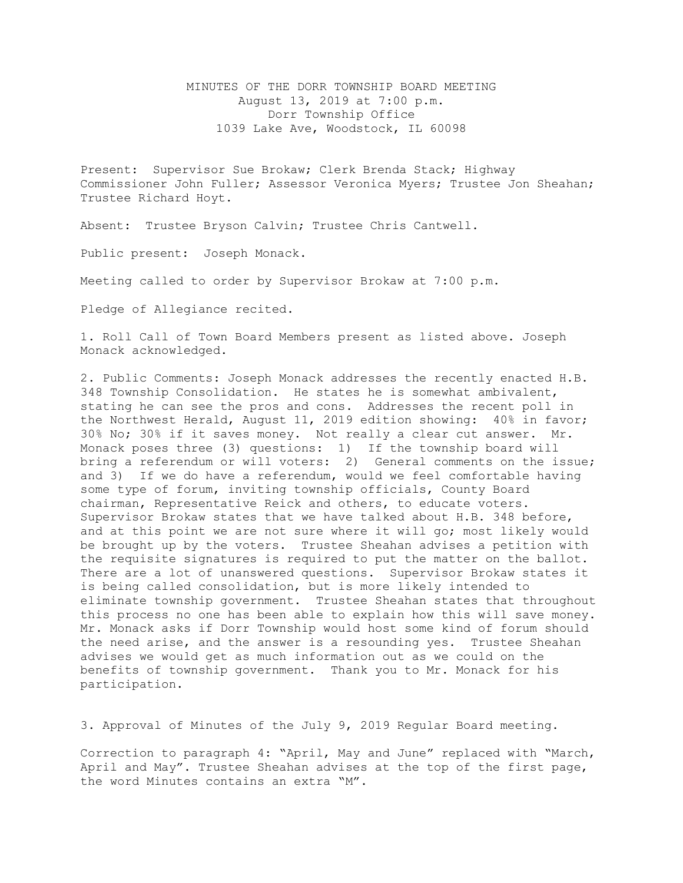MINUTES OF THE DORR TOWNSHIP BOARD MEETING August 13, 2019 at 7:00 p.m. Dorr Township Office 1039 Lake Ave, Woodstock, IL 60098

Present: Supervisor Sue Brokaw; Clerk Brenda Stack; Highway Commissioner John Fuller; Assessor Veronica Myers; Trustee Jon Sheahan; Trustee Richard Hoyt.

Absent: Trustee Bryson Calvin; Trustee Chris Cantwell.

Public present: Joseph Monack.

Meeting called to order by Supervisor Brokaw at 7:00 p.m.

Pledge of Allegiance recited.

1. Roll Call of Town Board Members present as listed above. Joseph Monack acknowledged.

2. Public Comments: Joseph Monack addresses the recently enacted H.B. 348 Township Consolidation. He states he is somewhat ambivalent, stating he can see the pros and cons. Addresses the recent poll in the Northwest Herald, August 11, 2019 edition showing: 40% in favor; 30% No; 30% if it saves money. Not really a clear cut answer. Mr. Monack poses three (3) questions: 1) If the township board will bring a referendum or will voters: 2) General comments on the issue; and 3) If we do have a referendum, would we feel comfortable having some type of forum, inviting township officials, County Board chairman, Representative Reick and others, to educate voters. Supervisor Brokaw states that we have talked about H.B. 348 before, and at this point we are not sure where it will go; most likely would be brought up by the voters. Trustee Sheahan advises a petition with the requisite signatures is required to put the matter on the ballot. There are a lot of unanswered questions. Supervisor Brokaw states it is being called consolidation, but is more likely intended to eliminate township government. Trustee Sheahan states that throughout this process no one has been able to explain how this will save money. Mr. Monack asks if Dorr Township would host some kind of forum should the need arise, and the answer is a resounding yes. Trustee Sheahan advises we would get as much information out as we could on the benefits of township government. Thank you to Mr. Monack for his participation.

3. Approval of Minutes of the July 9, 2019 Regular Board meeting.

Correction to paragraph 4: "April, May and June" replaced with "March, April and May". Trustee Sheahan advises at the top of the first page, the word Minutes contains an extra "M".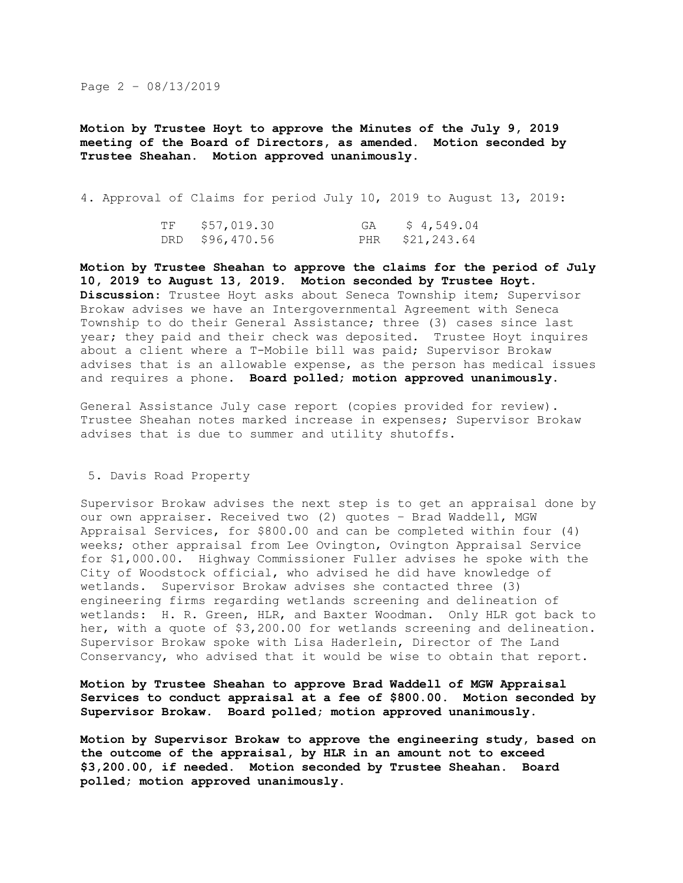## Page 2 – 08/13/2019

**Motion by Trustee Hoyt to approve the Minutes of the July 9, 2019 meeting of the Board of Directors, as amended. Motion seconded by Trustee Sheahan. Motion approved unanimously.** 

4. Approval of Claims for period July 10, 2019 to August 13, 2019:

| TF | \$57,019.30     | GA \$4,549.04   |
|----|-----------------|-----------------|
|    | DRD \$96,470.56 | PHR \$21,243.64 |

**Motion by Trustee Sheahan to approve the claims for the period of July 10, 2019 to August 13, 2019. Motion seconded by Trustee Hoyt. Discussion**: Trustee Hoyt asks about Seneca Township item; Supervisor Brokaw advises we have an Intergovernmental Agreement with Seneca Township to do their General Assistance; three (3) cases since last year; they paid and their check was deposited. Trustee Hoyt inquires about a client where a T-Mobile bill was paid; Supervisor Brokaw advises that is an allowable expense, as the person has medical issues and requires a phone. **Board polled; motion approved unanimously.**

General Assistance July case report (copies provided for review). Trustee Sheahan notes marked increase in expenses; Supervisor Brokaw advises that is due to summer and utility shutoffs.

## 5. Davis Road Property

Supervisor Brokaw advises the next step is to get an appraisal done by our own appraiser. Received two (2) quotes – Brad Waddell, MGW Appraisal Services, for \$800.00 and can be completed within four (4) weeks; other appraisal from Lee Ovington, Ovington Appraisal Service for \$1,000.00. Highway Commissioner Fuller advises he spoke with the City of Woodstock official, who advised he did have knowledge of wetlands. Supervisor Brokaw advises she contacted three (3) engineering firms regarding wetlands screening and delineation of wetlands: H. R. Green, HLR, and Baxter Woodman. Only HLR got back to her, with a quote of \$3,200.00 for wetlands screening and delineation. Supervisor Brokaw spoke with Lisa Haderlein, Director of The Land Conservancy, who advised that it would be wise to obtain that report.

## **Motion by Trustee Sheahan to approve Brad Waddell of MGW Appraisal Services to conduct appraisal at a fee of \$800.00. Motion seconded by Supervisor Brokaw. Board polled; motion approved unanimously.**

**Motion by Supervisor Brokaw to approve the engineering study, based on the outcome of the appraisal, by HLR in an amount not to exceed \$3,200.00, if needed. Motion seconded by Trustee Sheahan. Board polled; motion approved unanimously.**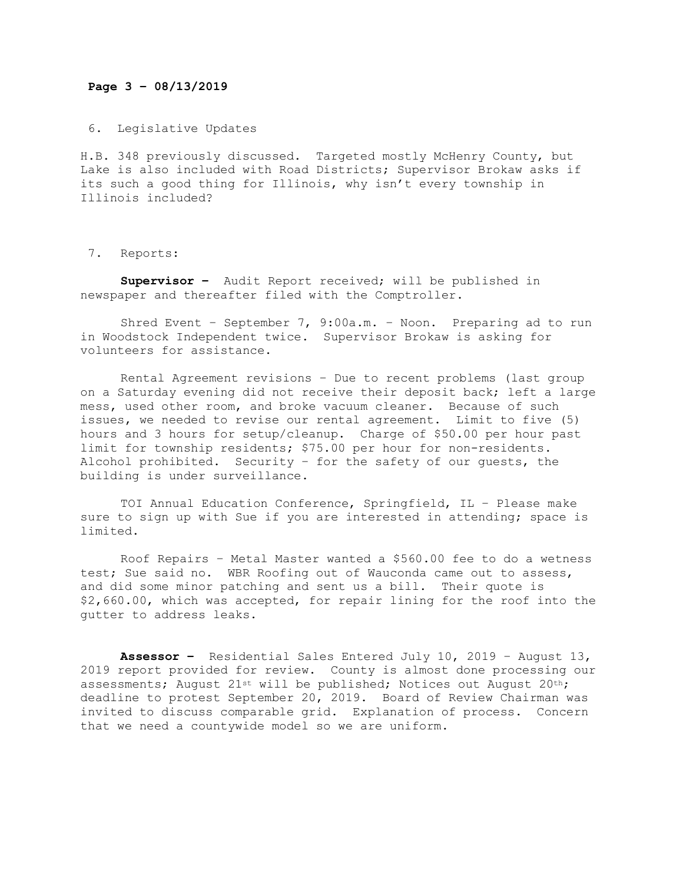## **Page 3 – 08/13/2019**

6. Legislative Updates

H.B. 348 previously discussed. Targeted mostly McHenry County, but Lake is also included with Road Districts; Supervisor Brokaw asks if its such a good thing for Illinois, why isn't every township in Illinois included?

7. Reports:

**Supervisor –** Audit Report received; will be published in newspaper and thereafter filed with the Comptroller.

Shred Event – September 7, 9:00a.m. – Noon. Preparing ad to run in Woodstock Independent twice. Supervisor Brokaw is asking for volunteers for assistance.

Rental Agreement revisions – Due to recent problems (last group on a Saturday evening did not receive their deposit back; left a large mess, used other room, and broke vacuum cleaner. Because of such issues, we needed to revise our rental agreement. Limit to five (5) hours and 3 hours for setup/cleanup. Charge of \$50.00 per hour past limit for township residents; \$75.00 per hour for non-residents. Alcohol prohibited. Security – for the safety of our guests, the building is under surveillance.

TOI Annual Education Conference, Springfield, IL – Please make sure to sign up with Sue if you are interested in attending; space is limited.

Roof Repairs – Metal Master wanted a \$560.00 fee to do a wetness test; Sue said no. WBR Roofing out of Wauconda came out to assess, and did some minor patching and sent us a bill. Their quote is \$2,660.00, which was accepted, for repair lining for the roof into the gutter to address leaks.

**Assessor –** Residential Sales Entered July 10, 2019 – August 13, 2019 report provided for review. County is almost done processing our assessments; August 21st will be published; Notices out August 20th; deadline to protest September 20, 2019. Board of Review Chairman was invited to discuss comparable grid. Explanation of process. Concern that we need a countywide model so we are uniform.